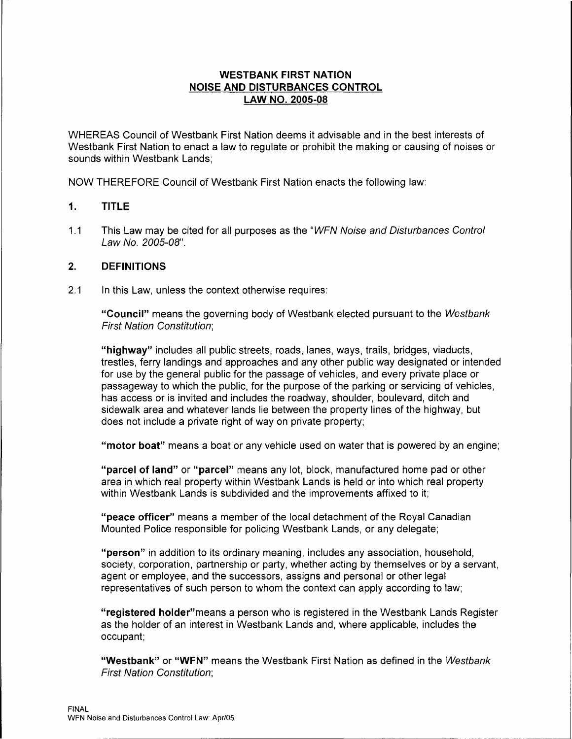# **WESTBANK FIRST NATION NOISE AND DISTURBANCES CONTROL LAW NO. 2005-08**

WHEREAS Council of Westbank First Nation deems it advisable and in the best interests of Westbank First Nation to enact a law to regulate or prohibit the making or causing of noises or sounds within Westbank Lands;

NOW THEREFORE Council of Westbank First Nation enacts the following law:

## **1. TITLE**

1.1 This Law may be cited for all purposes as the "WFN Noise and Disturbances Control Law No. 2005-08".

## **2. DEFINITIONS**

2.1 In this Law, unless the context otherwise requires:

**"Council"** means the governing body of Westbank elected pursuant to the Westbank First Nation Constitution;

**"highway"** includes all public streets, roads, lanes, ways, trails, bridges, viaducts, trestles, ferry landings and approaches and any other public way designated or intended for use by the general public for the passage of vehicles, and every private place or passageway to which the public, for the purpose of the parking or servicing of vehicles, has access or is invited and includes the roadway, shoulder, boulevard, ditch and sidewalk area and whatever lands lie between the property lines of the highway, but does not include a private right of way on private property;

**"motor boat"** means a boat or any vehicle used on water that is powered by an engine;

**"parcel of land" or "parcel"** means any lot, block, manufactured home pad or other area in which real property within Westbank Lands is held or into which real property within Westbank Lands is subdivided and the improvements affixed to it;

**"peace officer"** means a member of the local detachment of the Royal Canadian Mounted Police responsible for policing Westbank Lands, or any delegate;

**"person"** in addition to its ordinary meaning, includes any association, household, society, corporation, partnership or party, whether acting by themselves or by a servant, agent or employee, and the successors, assigns and personal or other legal representatives of such person to whom the context can apply according to law;

**"registered holder"means** a person who is registered in the Westbank Lands Register as the holder of an interest in Westbank Lands and, where applicable, includes the occupant;

**"Westbank" or "WFN"** means the Westbank First Nation as defined in the Westbank First Nation Constitution;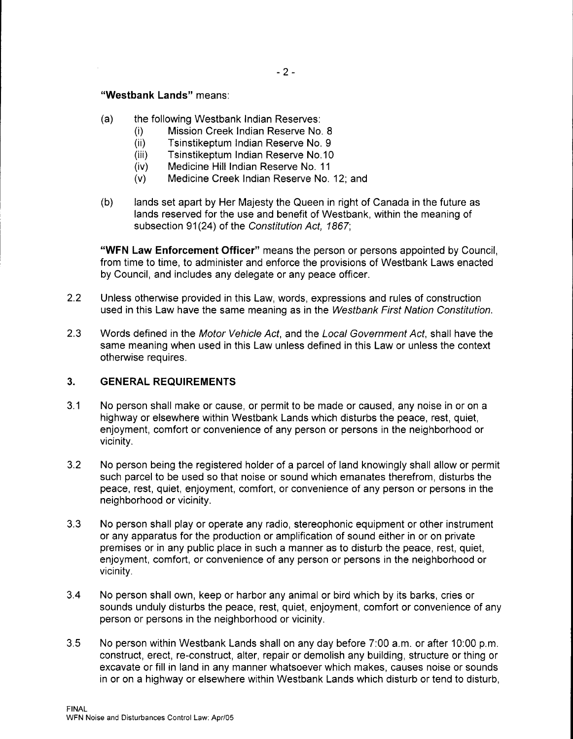### **"Westbank Lands"** means:

- (a) the following Westbank Indian Reserves:
	- (i) Mission Creek Indian Reserve No. 8
	- (ii) Tsinstikeptum Indian Reserve No. 9
	- (iii) Tsinstikeptum Indian Reserve No.10
	- (iv) Medicine Hill Indian Reserve No. 11
	- (v) Medicine Creek Indian Reserve No. 12; and
- (b) lands set apart by Her Majesty the Queen in right of Canada in the future as lands reserved for the use and benefit of Westbank, within the meaning of subsection 91(24) of the Constitution Act, 1867;

**"WFN Law Enforcement Officer"** means the person or persons appointed by Council, from time to time, to administer and enforce the provisions of Westbank Laws enacted by Council, and includes any delegate or any peace officer.

- 2.2 Unless otherwise provided in this Law, words, expressions and rules of construction used in this Law have the same meaning as in the Westbank First Nation Constitution.
- 2.3 Words defined in the Motor Vehicle Act, and the Local Government Act, shall have the same meaning when used in this Law unless defined in this Law or unless the context otherwise requires.

### **3. GENERAL REQUIREMENTS**

- 3.1 No person shall make or cause, or permit to be made or caused, any noise in or on a highway or elsewhere within Westbank Lands which disturbs the peace, rest, quiet, enjoyment, comfort or convenience of any person or persons in the neighborhood or vicinity.
- 3.2 No person being the registered holder of a parcel of land knowingly shall allow or permit such parcel to be used so that noise or sound which emanates therefrom, disturbs the peace, rest, quiet, enjoyment, comfort, or convenience of any person or persons in the neighborhood or vicinity.
- 3.3 No person shall play or operate any radio, stereophonic equipment or other instrument or any apparatus for the production or amplification of sound either in or on private premises or in any public place in such a manner as to disturb the peace, rest, quiet, enjoyment, comfort, or convenience of any person or persons in the neighborhood or vicinity.
- 3.4 No person shall own, keep or harbor any animal or bird which by its barks, cries or sounds unduly disturbs the peace, rest, quiet, enjoyment, comfort or convenience of any person or persons in the neighborhood or vicinity.
- 3.5 No person within Westbank Lands shall on any day before 7:00 a.m. or after 10:00 p.m. construct, erect, re-construct, alter, repair or demolish any building, structure or thing or excavate or fill in land in any manner whatsoever which makes, causes noise or sounds in or on a highway or elsewhere within Westbank Lands which disturb or tend to disturb,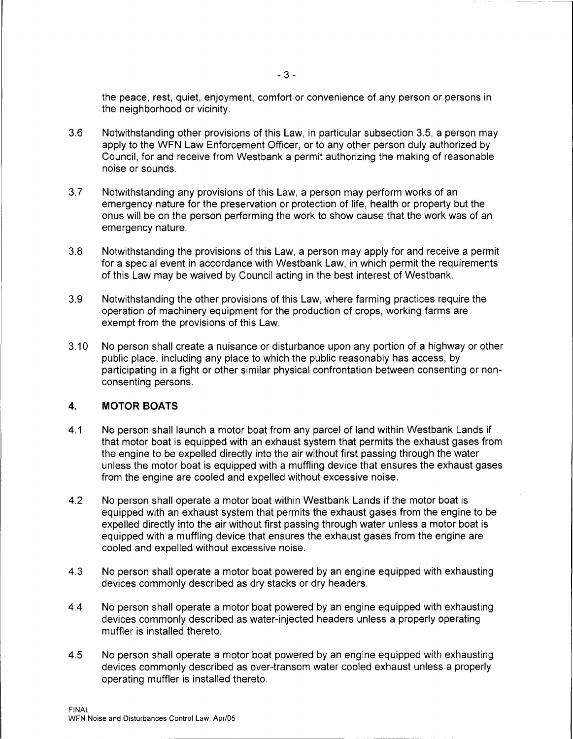the peace, rest, quiet, enjoyment, comfort or convenience of any person or persons in the neighborhood or vicinity.

- 3.6 Notwithstanding other provisions of this Law, in particular subsection 3.5, a person may apply to the WFN Law Enforcement Officer, or to any other person duly authorized by Council, for and receive from Westbank a permit authorizing the making of reasonable noise or sounds.
- 3.7 Notwithstanding any provisions of this Law, a person may perform works of an emergency nature for the preservation or protection of life, health or property but the onus will be on the person performing the work to show cause that the work was of an emergency nature.
- 3.8 Notwithstanding the provisions of this Law, a person may apply for and receive a permit for a special event in accordance with Westbank Law, in which permit the requirements of this Law may be waived by Council acting in the best interest of Westbank.
- 3.9 Notwithstanding the other provisions of this Law, where farming practices require the operation of machinery equipment for the production of crops, working farms are exempt from the provisions of this Law.
- 3.10 No person shall create a nuisance or disturbance upon any portion of a highway or other public place, including any place to which the public reasonably has access, by participating in a fight or other similar physical confrontation between consenting or nonconsenting persons.

### **4. MOTOR BOATS**

- 4.1 No person shall launch a motor boat from any parcel of land within Westbank Lands if that motor boat is equipped with an exhaust system that permits the exhaust gases from the engine to be expelled directly into the air without first passing through the water unless the motor boat is equipped with a muffling device that ensures the exhaust gases from the engine are cooled and expelled without excessive noise.
- 4.2 No person shall operate a motor boat within Westbank Lands if the motor boat is equipped with an exhaust system that permits the exhaust gases from the engine to be expelled directly into the air without first passing through water unless a motor boat is equipped with a muffling device that ensures the exhaust gases from the engine are cooled and expelled without excessive noise.
- 4.3 No person shall operate a motor boat powered by an engine equipped with exhausting devices commonly described as dry stacks or dry headers.
- 4.4 No person shall operate a motor boat powered by an engine equipped with exhausting devices commonly described as water-injected headers unless a properly operating muffler is installed thereto.
- 4.5 No person shall operate a motor boat powered by an engine equipped with exhausting devices commonly described as over-transom water cooled exhaust unless a properly operating muffler is installed thereto.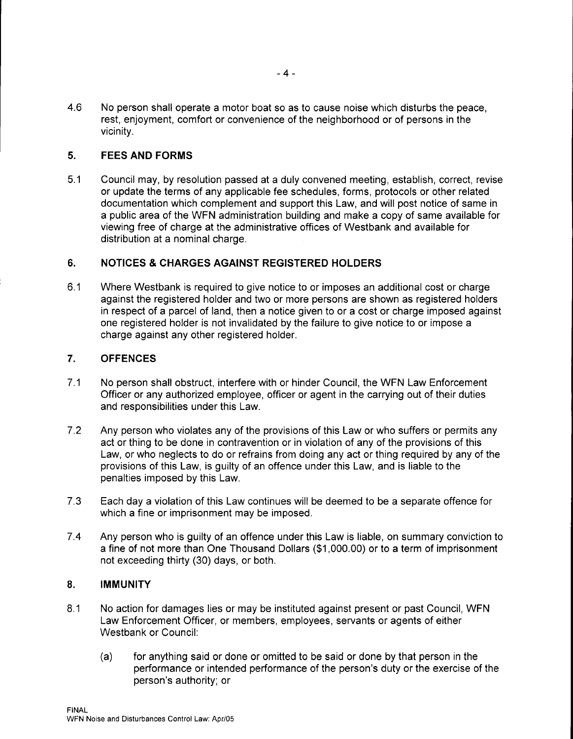4.6 No person shall operate a motor boat so as to cause noise which disturbs the peace, rest, enjoyment, comfort or convenience of the neighborhood or of persons in the vicinity.

# **5. FEES AND FORMS**

5.1 Council may, by resolution passed at a duly convened meeting, establish, correct, revise or update the terms of any applicable fee schedules, forms, protocols or other related documentation which complement and support this Law, and will post notice of same in a public area of the WFN administration building and make a copy of same available for viewing free of charge at the administrative offices of Westbank and available for distribution at a nominal charge.

## **6. NOTICES & CHARGES AGAINST REGISTERED HOLDERS**

6.1 Where Westbank is required to give notice to or imposes an additional cost or charge against the registered holder and two or more persons are shown as registered holders in respect of a parcel of land, then a notice given to or a cost or charge imposed against one registered holder is not invalidated by the failure to give notice to or impose a charge against any other registered holder.

## **7. OFFENCES**

- 7 .1 No person shall obstruct, interfere with or hinder Council, the WFN Law Enforcement Officer or any authorized employee, officer or agent in the carrying out of their duties and responsibilities under this Law.
- 7 .2 Any person who violates any of the provisions of this Law or who suffers or permits any act or thing to be done in contravention or in violation of any of the provisions of this Law, or who neglects to do or refrains from doing any act or thing required by any of the provisions of this Law, is guilty of an offence under this Law, and is liable to the penalties imposed by this Law.
- 7.3 Each day a violation of this Law continues will be deemed to be a separate offence for which a fine or imprisonment may be imposed.
- 7.4 Any person who is guilty of an offence under this Law is liable, on summary conviction to a fine of not more than One Thousand Dollars (\$1,000.00) or to a term of imprisonment not exceeding thirty (30) days, or both.

## **8. IMMUNITY**

- 8.1 No action for damages lies or may be instituted against present or past Council, WFN Law Enforcement Officer, or members, employees, servants or agents of either Westbank or Council:
	- (a) for anything said or done or omitted to be said or done by that person in the performance or intended performance of the person's duty or the exercise of the person's authority; or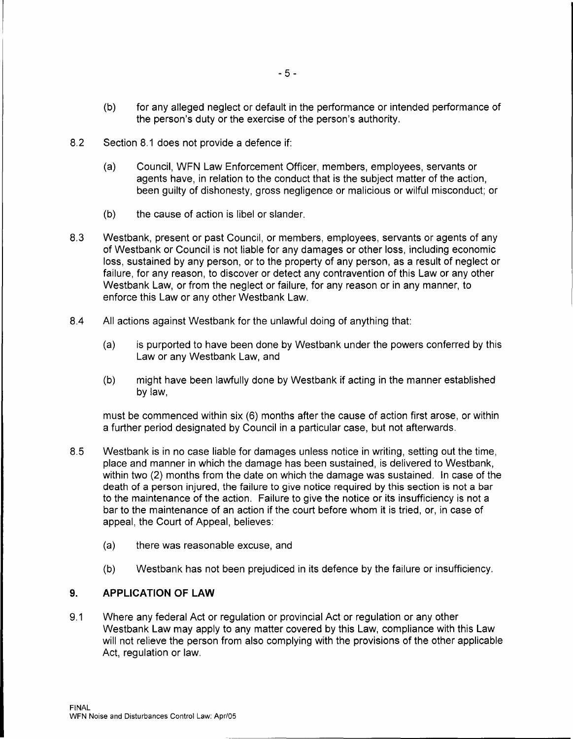- (b) for any alleged neglect or default in the performance or intended performance of the person's duty or the exercise of the person's authority.
- 8.2 Section 8.1 does not provide a defence if:
	- (a) Council, WFN Law Enforcement Officer, members, employees, servants or agents have, in relation to the conduct that is the subject matter of the action, been guilty of dishonesty, gross negligence or malicious or wilful misconduct; or
	- (b) the cause of action is libel or slander.
- 8.3 Westbank, present or past Council, or members, employees, servants or agents of any of Westbank or Council is not liable for any damages or other loss, including economic loss, sustained by any person, or to the property of any person, as a result of neglect or failure, for any reason, to discover or detect any contravention of this Law or any other Westbank Law, or from the neglect or failure, for any reason or in any manner, to enforce this Law or any other Westbank Law.
- 8.4 All actions against Westbank for the unlawful doing of anything that:
	- (a) is purported to have been done by Westbank under the powers conferred by this Law or any Westbank Law, and
	- (b) might have been lawfully done by Westbank if acting in the manner established by law,

must be commenced within six (6) months after the cause of action first arose, or within a further period designated by Council in a particular case, but not afterwards.

- 8.5 Westbank is in no case liable for damages unless notice in writing, setting out the time, place and manner in which the damage has been sustained, is delivered to Westbank, within two (2) months from the date on which the damage was sustained. In case of the death of a person injured, the failure to give notice required by this section is not a bar to the maintenance of the action. Failure to give the notice or its insufficiency is not a bar to the maintenance of an action if the court before whom it is tried, or, in case of appeal, the Court of Appeal, believes:
	- (a) there was reasonable excuse, and
	- (b) Westbank has not been prejudiced in its defence by the failure or insufficiency.

### **9. APPLICATION OF LAW**

9.1 Where any federal Act or regulation or provincial Act or regulation or any other Westbank Law may apply to any matter covered by this Law, compliance with this Law will not relieve the person from also complying with the provisions of the other applicable Act, regulation or law.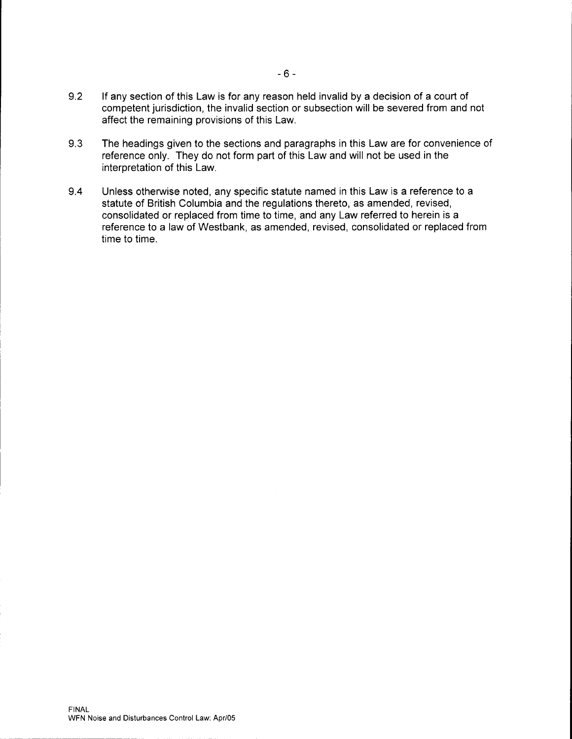- 9.2 If any section of this Law is for any reason held invalid by a decision of a court of competent jurisdiction, the invalid section or subsection will be severed from and not affect the remaining provisions of this Law.
- 9.3 The headings given to the sections and paragraphs in this Law are for convenience of reference only. They do not form part of this Law and will not be used in the interpretation of this Law.
- 9.4 Unless otherwise noted, any specific statute named in this Law is a reference to a statute of British Columbia and the regulations thereto, as amended, revised, consolidated or replaced from time to time, and any Law referred to herein is a reference to a law of Westbank, as amended, revised, consolidated or replaced from time to time.